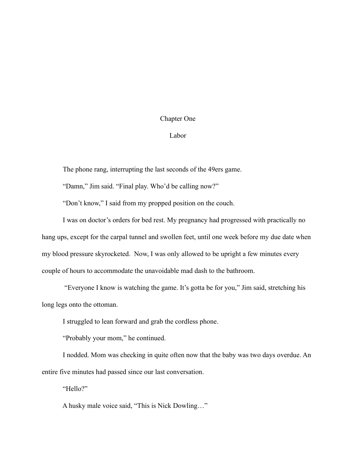## Chapter One

## Labor

The phone rang, interrupting the last seconds of the 49ers game.

"Damn," Jim said. "Final play. Who'd be calling now?"

"Don't know," I said from my propped position on the couch.

I was on doctor's orders for bed rest. My pregnancy had progressed with practically no hang ups, except for the carpal tunnel and swollen feet, until one week before my due date when my blood pressure skyrocketed. Now, I was only allowed to be upright a few minutes every couple of hours to accommodate the unavoidable mad dash to the bathroom.

 "Everyone I know is watching the game. It's gotta be for you," Jim said, stretching his long legs onto the ottoman.

I struggled to lean forward and grab the cordless phone.

"Probably your mom," he continued.

 I nodded. Mom was checking in quite often now that the baby was two days overdue. An entire five minutes had passed since our last conversation.

"Hello?"

A husky male voice said, "This is Nick Dowling…"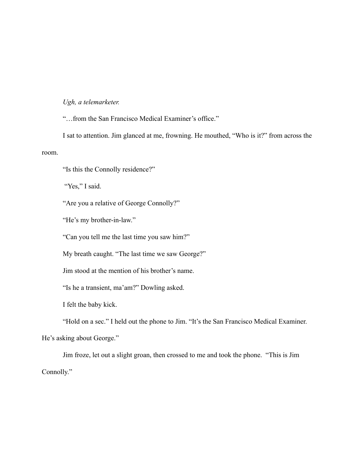## *Ugh, a telemarketer.*

"…from the San Francisco Medical Examiner's office."

 I sat to attention. Jim glanced at me, frowning. He mouthed, "Who is it?" from across the room.

"Is this the Connolly residence?"

"Yes," I said.

"Are you a relative of George Connolly?"

"He's my brother-in-law."

"Can you tell me the last time you saw him?"

My breath caught. "The last time we saw George?"

Jim stood at the mention of his brother's name.

"Is he a transient, ma'am?" Dowling asked.

I felt the baby kick.

"Hold on a sec." I held out the phone to Jim. "It's the San Francisco Medical Examiner.

He's asking about George."

Jim froze, let out a slight groan, then crossed to me and took the phone. "This is Jim Connolly."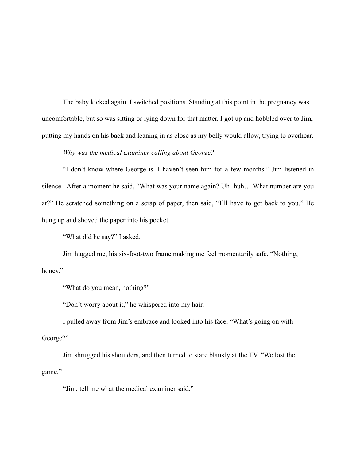The baby kicked again. I switched positions. Standing at this point in the pregnancy was uncomfortable, but so was sitting or lying down for that matter. I got up and hobbled over to Jim, putting my hands on his back and leaning in as close as my belly would allow, trying to overhear.

*Why was the medical examiner calling about George?* 

 "I don't know where George is. I haven't seen him for a few months." Jim listened in silence. After a moment he said, "What was your name again? Uh huh….What number are you at?" He scratched something on a scrap of paper, then said, "I'll have to get back to you." He hung up and shoved the paper into his pocket.

"What did he say?" I asked.

 Jim hugged me, his six-foot-two frame making me feel momentarily safe. "Nothing, honey."

"What do you mean, nothing?"

"Don't worry about it," he whispered into my hair.

 I pulled away from Jim's embrace and looked into his face. "What's going on with George?"

 Jim shrugged his shoulders, and then turned to stare blankly at the TV. "We lost the game."

"Jim, tell me what the medical examiner said."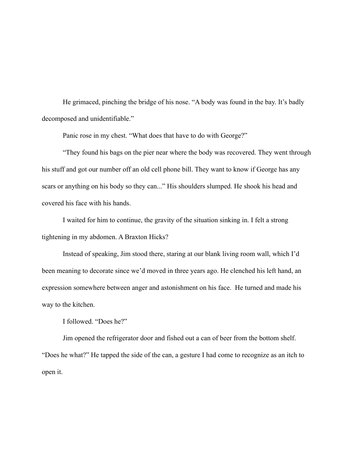He grimaced, pinching the bridge of his nose. "A body was found in the bay. It's badly decomposed and unidentifiable."

Panic rose in my chest. "What does that have to do with George?"

 "They found his bags on the pier near where the body was recovered. They went through his stuff and got our number off an old cell phone bill. They want to know if George has any scars or anything on his body so they can..." His shoulders slumped. He shook his head and covered his face with his hands.

I waited for him to continue, the gravity of the situation sinking in. I felt a strong tightening in my abdomen. A Braxton Hicks?

Instead of speaking, Jim stood there, staring at our blank living room wall, which I'd been meaning to decorate since we'd moved in three years ago. He clenched his left hand, an expression somewhere between anger and astonishment on his face. He turned and made his way to the kitchen.

I followed. "Does he?"

 Jim opened the refrigerator door and fished out a can of beer from the bottom shelf. "Does he what?" He tapped the side of the can, a gesture I had come to recognize as an itch to open it.